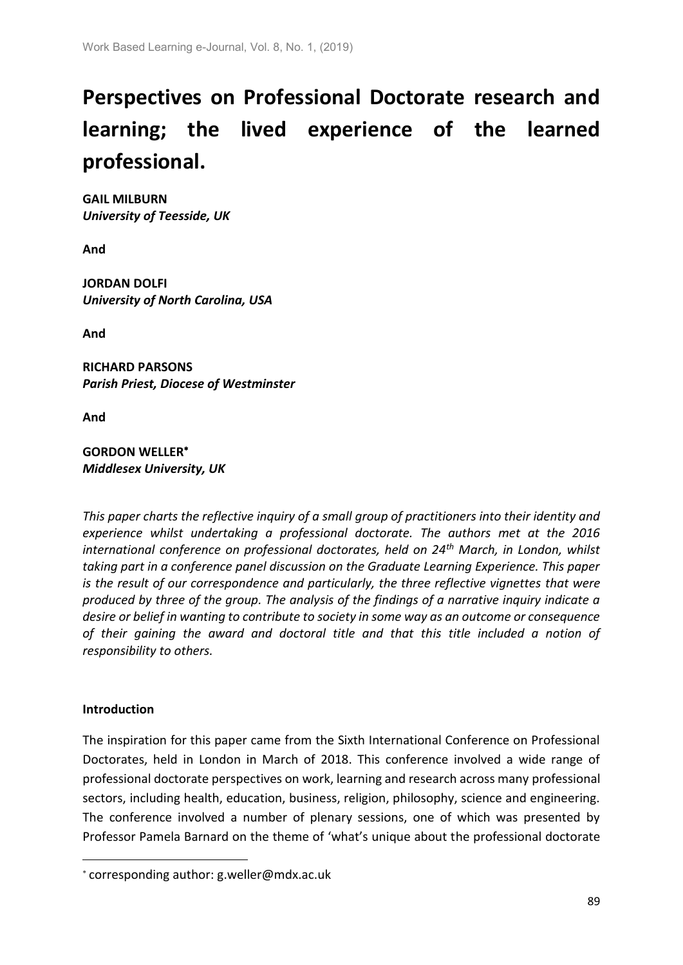# **Perspectives on Professional Doctorate research and learning; the lived experience of the learned professional.**

**GAIL MILBURN** *University of Teesside, UK*

**And** 

**JORDAN DOLFI** *University of North Carolina, USA*

**And** 

**RICHARD PARSONS** *Parish Priest, Diocese of Westminster*

**And** 

## **GORDON WELLER** *Middlesex University, UK*

*This paper charts the reflective inquiry of a small group of practitioners into their identity and experience whilst undertaking a professional doctorate. The authors met at the 2016 international conference on professional doctorates, held on 24th March, in London, whilst taking part in a conference panel discussion on the Graduate Learning Experience. This paper is the result of our correspondence and particularly, the three reflective vignettes that were produced by three of the group. The analysis of the findings of a narrative inquiry indicate a desire or belief in wanting to contribute to society in some way as an outcome or consequence of their gaining the award and doctoral title and that this title included a notion of responsibility to others.*

## **Introduction**

**.** 

The inspiration for this paper came from the Sixth International Conference on Professional Doctorates, held in London in March of 2018. This conference involved a wide range of professional doctorate perspectives on work, learning and research across many professional sectors, including health, education, business, religion, philosophy, science and engineering. The conference involved a number of plenary sessions, one of which was presented by Professor Pamela Barnard on the theme of 'what's unique about the professional doctorate

corresponding author: g.weller@mdx.ac.uk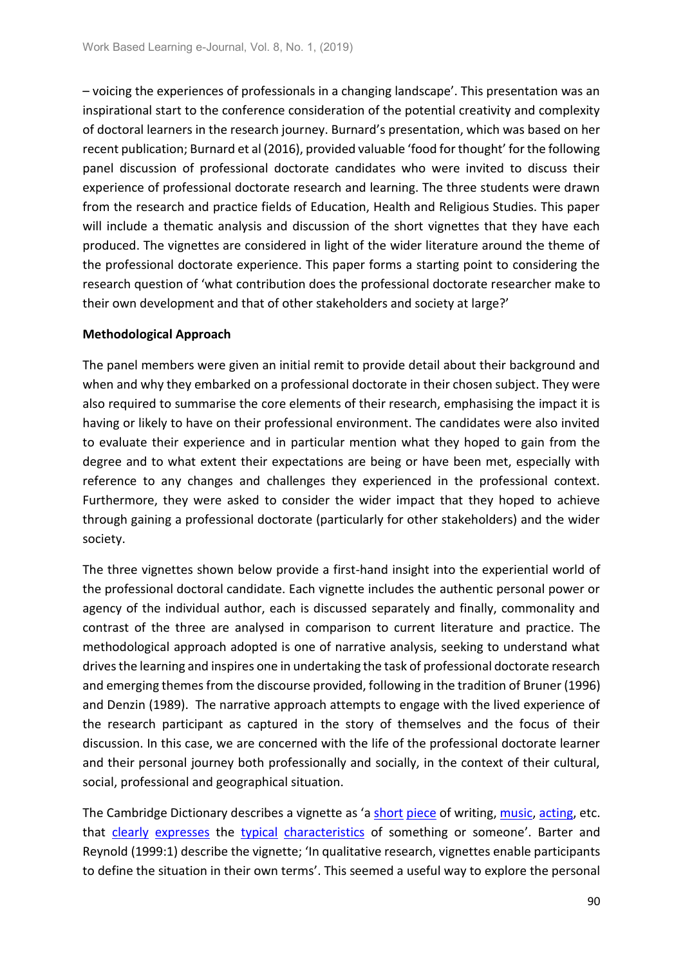– voicing the experiences of professionals in a changing landscape'. This presentation was an inspirational start to the conference consideration of the potential creativity and complexity of doctoral learners in the research journey. Burnard's presentation, which was based on her recent publication; Burnard et al (2016), provided valuable 'food for thought' for the following panel discussion of professional doctorate candidates who were invited to discuss their experience of professional doctorate research and learning. The three students were drawn from the research and practice fields of Education, Health and Religious Studies. This paper will include a thematic analysis and discussion of the short vignettes that they have each produced. The vignettes are considered in light of the wider literature around the theme of the professional doctorate experience. This paper forms a starting point to considering the research question of 'what contribution does the professional doctorate researcher make to their own development and that of other stakeholders and society at large?'

## **Methodological Approach**

The panel members were given an initial remit to provide detail about their background and when and why they embarked on a professional doctorate in their chosen subject. They were also required to summarise the core elements of their research, emphasising the impact it is having or likely to have on their professional environment. The candidates were also invited to evaluate their experience and in particular mention what they hoped to gain from the degree and to what extent their expectations are being or have been met, especially with reference to any changes and challenges they experienced in the professional context. Furthermore, they were asked to consider the wider impact that they hoped to achieve through gaining a professional doctorate (particularly for other stakeholders) and the wider society.

The three vignettes shown below provide a first-hand insight into the experiential world of the professional doctoral candidate. Each vignette includes the authentic personal power or agency of the individual author, each is discussed separately and finally, commonality and contrast of the three are analysed in comparison to current literature and practice. The methodological approach adopted is one of narrative analysis, seeking to understand what drives the learning and inspires one in undertaking the task of professional doctorate research and emerging themes from the discourse provided, following in the tradition of Bruner (1996) and Denzin (1989). The narrative approach attempts to engage with the lived experience of the research participant as captured in the story of themselves and the focus of their discussion. In this case, we are concerned with the life of the professional doctorate learner and their personal journey both professionally and socially, in the context of their cultural, social, professional and geographical situation.

The Cambridge Dictionary describes a vignette as 'a [short](https://dictionary.cambridge.org/dictionary/english/short) [piece](https://dictionary.cambridge.org/dictionary/english/piece) of writing, [music,](https://dictionary.cambridge.org/dictionary/english/music) [acting,](https://dictionary.cambridge.org/dictionary/english/acting) etc. that [clearly](https://dictionary.cambridge.org/dictionary/english/clearly) [expresses](https://dictionary.cambridge.org/dictionary/english/express) the [typical](https://dictionary.cambridge.org/dictionary/english/typical) [characteristics](https://dictionary.cambridge.org/dictionary/english/characteristic) of something or someone'. Barter and Reynold (1999:1) describe the vignette; 'In qualitative research, vignettes enable participants to define the situation in their own terms'. This seemed a useful way to explore the personal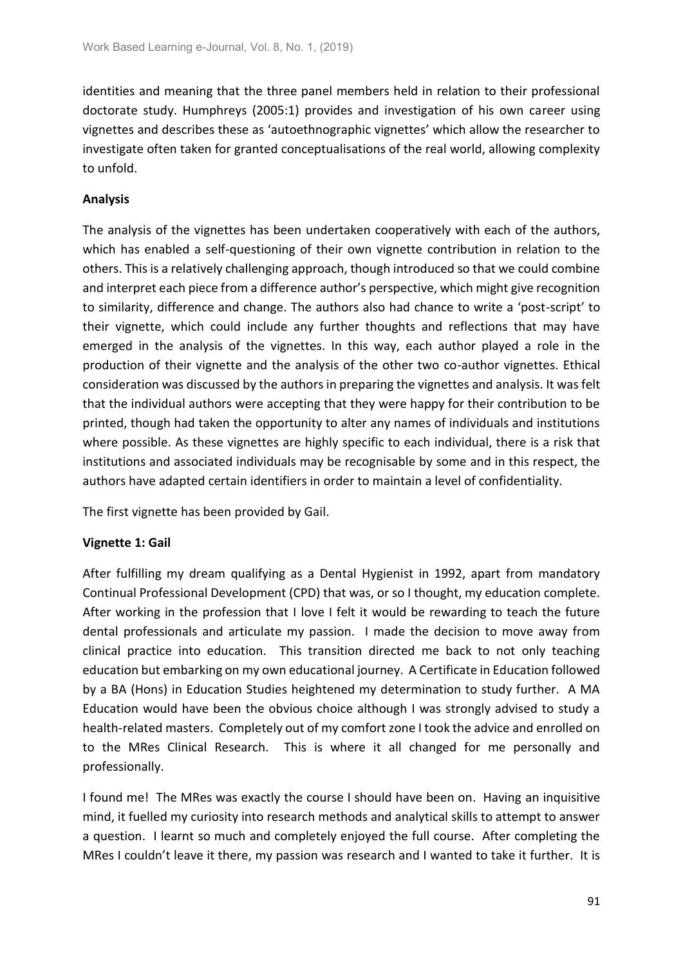identities and meaning that the three panel members held in relation to their professional doctorate study. Humphreys (2005:1) provides and investigation of his own career using vignettes and describes these as 'autoethnographic vignettes' which allow the researcher to investigate often taken for granted conceptualisations of the real world, allowing complexity to unfold.

## **Analysis**

The analysis of the vignettes has been undertaken cooperatively with each of the authors, which has enabled a self-questioning of their own vignette contribution in relation to the others. This is a relatively challenging approach, though introduced so that we could combine and interpret each piece from a difference author's perspective, which might give recognition to similarity, difference and change. The authors also had chance to write a 'post-script' to their vignette, which could include any further thoughts and reflections that may have emerged in the analysis of the vignettes. In this way, each author played a role in the production of their vignette and the analysis of the other two co-author vignettes. Ethical consideration was discussed by the authors in preparing the vignettes and analysis. It was felt that the individual authors were accepting that they were happy for their contribution to be printed, though had taken the opportunity to alter any names of individuals and institutions where possible. As these vignettes are highly specific to each individual, there is a risk that institutions and associated individuals may be recognisable by some and in this respect, the authors have adapted certain identifiers in order to maintain a level of confidentiality.

The first vignette has been provided by Gail.

### **Vignette 1: Gail**

After fulfilling my dream qualifying as a Dental Hygienist in 1992, apart from mandatory Continual Professional Development (CPD) that was, or so I thought, my education complete. After working in the profession that I love I felt it would be rewarding to teach the future dental professionals and articulate my passion. I made the decision to move away from clinical practice into education. This transition directed me back to not only teaching education but embarking on my own educational journey. A Certificate in Education followed by a BA (Hons) in Education Studies heightened my determination to study further. A MA Education would have been the obvious choice although I was strongly advised to study a health-related masters. Completely out of my comfort zone I took the advice and enrolled on to the MRes Clinical Research. This is where it all changed for me personally and professionally.

I found me! The MRes was exactly the course I should have been on. Having an inquisitive mind, it fuelled my curiosity into research methods and analytical skills to attempt to answer a question. I learnt so much and completely enjoyed the full course. After completing the MRes I couldn't leave it there, my passion was research and I wanted to take it further. It is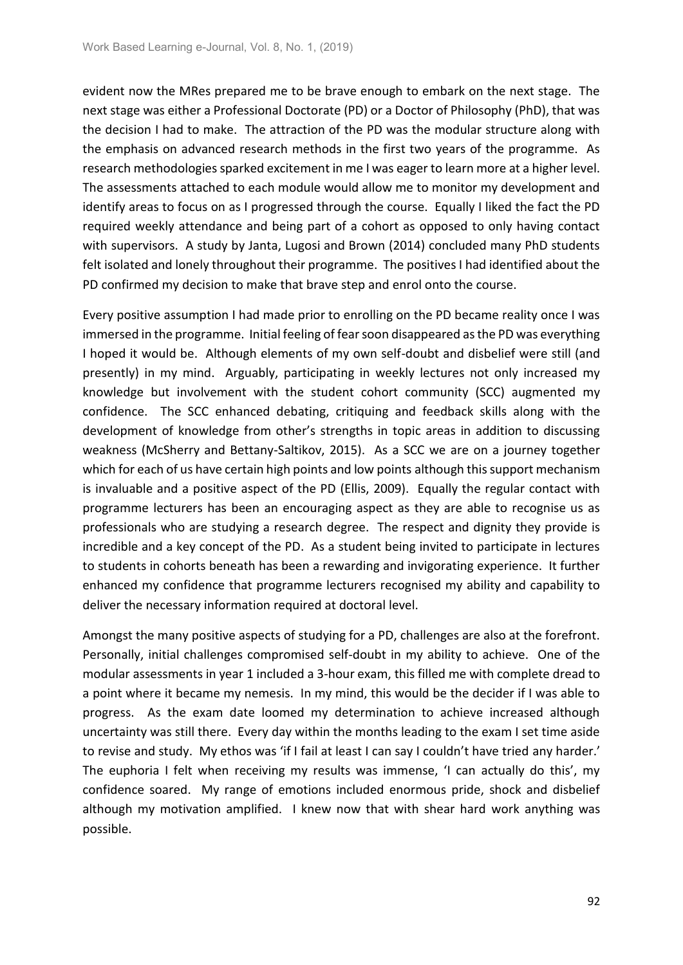evident now the MRes prepared me to be brave enough to embark on the next stage. The next stage was either a Professional Doctorate (PD) or a Doctor of Philosophy (PhD), that was the decision I had to make. The attraction of the PD was the modular structure along with the emphasis on advanced research methods in the first two years of the programme. As research methodologies sparked excitement in me I was eager to learn more at a higher level. The assessments attached to each module would allow me to monitor my development and identify areas to focus on as I progressed through the course. Equally I liked the fact the PD required weekly attendance and being part of a cohort as opposed to only having contact with supervisors. A study by Janta, Lugosi and Brown (2014) concluded many PhD students felt isolated and lonely throughout their programme. The positives I had identified about the PD confirmed my decision to make that brave step and enrol onto the course.

Every positive assumption I had made prior to enrolling on the PD became reality once I was immersed in the programme. Initial feeling of fear soon disappeared as the PD was everything I hoped it would be. Although elements of my own self-doubt and disbelief were still (and presently) in my mind. Arguably, participating in weekly lectures not only increased my knowledge but involvement with the student cohort community (SCC) augmented my confidence. The SCC enhanced debating, critiquing and feedback skills along with the development of knowledge from other's strengths in topic areas in addition to discussing weakness (McSherry and Bettany-Saltikov, 2015). As a SCC we are on a journey together which for each of us have certain high points and low points although this support mechanism is invaluable and a positive aspect of the PD (Ellis, 2009). Equally the regular contact with programme lecturers has been an encouraging aspect as they are able to recognise us as professionals who are studying a research degree. The respect and dignity they provide is incredible and a key concept of the PD. As a student being invited to participate in lectures to students in cohorts beneath has been a rewarding and invigorating experience. It further enhanced my confidence that programme lecturers recognised my ability and capability to deliver the necessary information required at doctoral level.

Amongst the many positive aspects of studying for a PD, challenges are also at the forefront. Personally, initial challenges compromised self-doubt in my ability to achieve. One of the modular assessments in year 1 included a 3-hour exam, this filled me with complete dread to a point where it became my nemesis. In my mind, this would be the decider if I was able to progress. As the exam date loomed my determination to achieve increased although uncertainty was still there. Every day within the months leading to the exam I set time aside to revise and study. My ethos was 'if I fail at least I can say I couldn't have tried any harder.' The euphoria I felt when receiving my results was immense, 'I can actually do this', my confidence soared. My range of emotions included enormous pride, shock and disbelief although my motivation amplified. I knew now that with shear hard work anything was possible.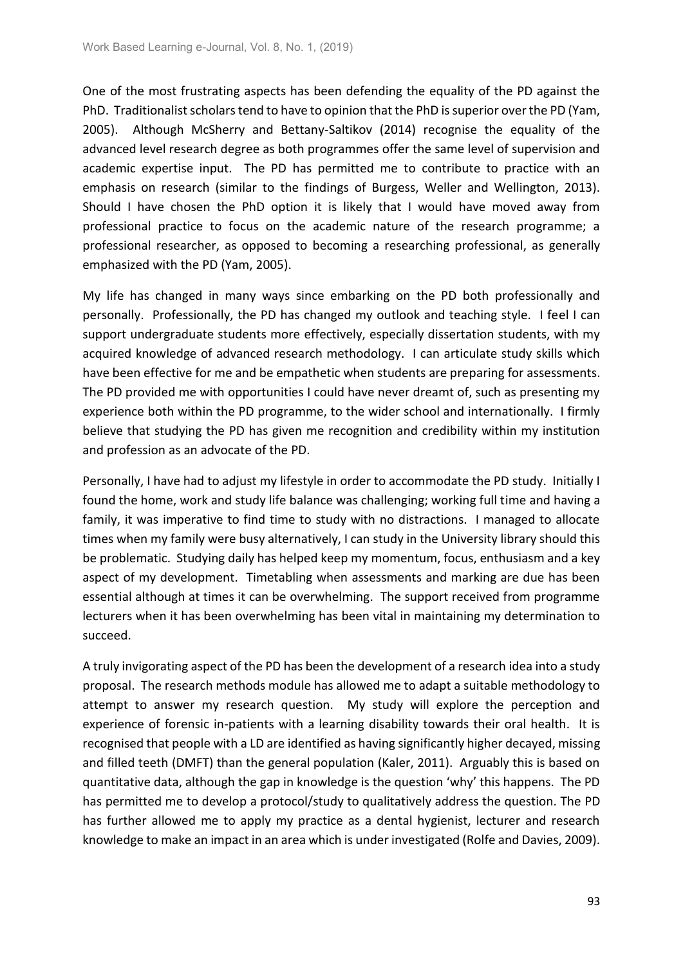One of the most frustrating aspects has been defending the equality of the PD against the PhD. Traditionalist scholars tend to have to opinion that the PhD is superior over the PD (Yam, 2005). Although McSherry and Bettany-Saltikov (2014) recognise the equality of the advanced level research degree as both programmes offer the same level of supervision and academic expertise input. The PD has permitted me to contribute to practice with an emphasis on research (similar to the findings of Burgess, Weller and Wellington, 2013). Should I have chosen the PhD option it is likely that I would have moved away from professional practice to focus on the academic nature of the research programme; a professional researcher, as opposed to becoming a researching professional, as generally emphasized with the PD (Yam, 2005).

My life has changed in many ways since embarking on the PD both professionally and personally. Professionally, the PD has changed my outlook and teaching style. I feel I can support undergraduate students more effectively, especially dissertation students, with my acquired knowledge of advanced research methodology. I can articulate study skills which have been effective for me and be empathetic when students are preparing for assessments. The PD provided me with opportunities I could have never dreamt of, such as presenting my experience both within the PD programme, to the wider school and internationally. I firmly believe that studying the PD has given me recognition and credibility within my institution and profession as an advocate of the PD.

Personally, I have had to adjust my lifestyle in order to accommodate the PD study. Initially I found the home, work and study life balance was challenging; working full time and having a family, it was imperative to find time to study with no distractions. I managed to allocate times when my family were busy alternatively, I can study in the University library should this be problematic. Studying daily has helped keep my momentum, focus, enthusiasm and a key aspect of my development. Timetabling when assessments and marking are due has been essential although at times it can be overwhelming. The support received from programme lecturers when it has been overwhelming has been vital in maintaining my determination to succeed.

A truly invigorating aspect of the PD has been the development of a research idea into a study proposal. The research methods module has allowed me to adapt a suitable methodology to attempt to answer my research question. My study will explore the perception and experience of forensic in-patients with a learning disability towards their oral health. It is recognised that people with a LD are identified as having significantly higher decayed, missing and filled teeth (DMFT) than the general population (Kaler, 2011). Arguably this is based on quantitative data, although the gap in knowledge is the question 'why' this happens. The PD has permitted me to develop a protocol/study to qualitatively address the question. The PD has further allowed me to apply my practice as a dental hygienist, lecturer and research knowledge to make an impact in an area which is under investigated (Rolfe and Davies, 2009).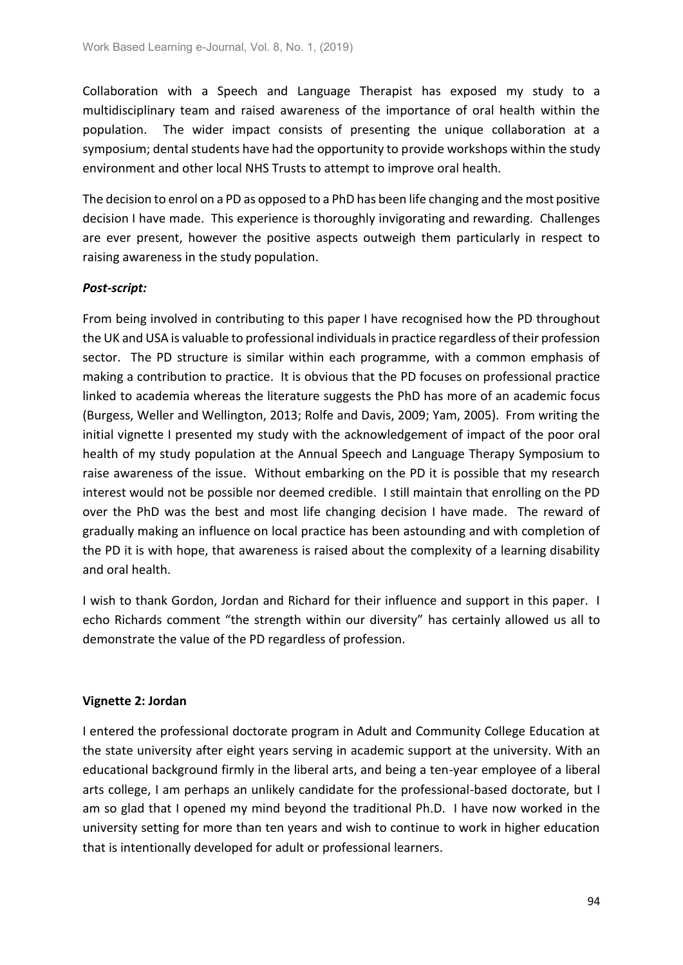Collaboration with a Speech and Language Therapist has exposed my study to a multidisciplinary team and raised awareness of the importance of oral health within the population. The wider impact consists of presenting the unique collaboration at a symposium; dental students have had the opportunity to provide workshops within the study environment and other local NHS Trusts to attempt to improve oral health.

The decision to enrol on a PD as opposed to a PhD has been life changing and the most positive decision I have made. This experience is thoroughly invigorating and rewarding. Challenges are ever present, however the positive aspects outweigh them particularly in respect to raising awareness in the study population.

## *Post-script:*

From being involved in contributing to this paper I have recognised how the PD throughout the UK and USA is valuable to professional individuals in practice regardless of their profession sector. The PD structure is similar within each programme, with a common emphasis of making a contribution to practice. It is obvious that the PD focuses on professional practice linked to academia whereas the literature suggests the PhD has more of an academic focus (Burgess, Weller and Wellington, 2013; Rolfe and Davis, 2009; Yam, 2005). From writing the initial vignette I presented my study with the acknowledgement of impact of the poor oral health of my study population at the Annual Speech and Language Therapy Symposium to raise awareness of the issue. Without embarking on the PD it is possible that my research interest would not be possible nor deemed credible. I still maintain that enrolling on the PD over the PhD was the best and most life changing decision I have made. The reward of gradually making an influence on local practice has been astounding and with completion of the PD it is with hope, that awareness is raised about the complexity of a learning disability and oral health.

I wish to thank Gordon, Jordan and Richard for their influence and support in this paper. I echo Richards comment "the strength within our diversity" has certainly allowed us all to demonstrate the value of the PD regardless of profession.

### **Vignette 2: Jordan**

I entered the professional doctorate program in Adult and Community College Education at the state university after eight years serving in academic support at the university. With an educational background firmly in the liberal arts, and being a ten-year employee of a liberal arts college, I am perhaps an unlikely candidate for the professional-based doctorate, but I am so glad that I opened my mind beyond the traditional Ph.D. I have now worked in the university setting for more than ten years and wish to continue to work in higher education that is intentionally developed for adult or professional learners.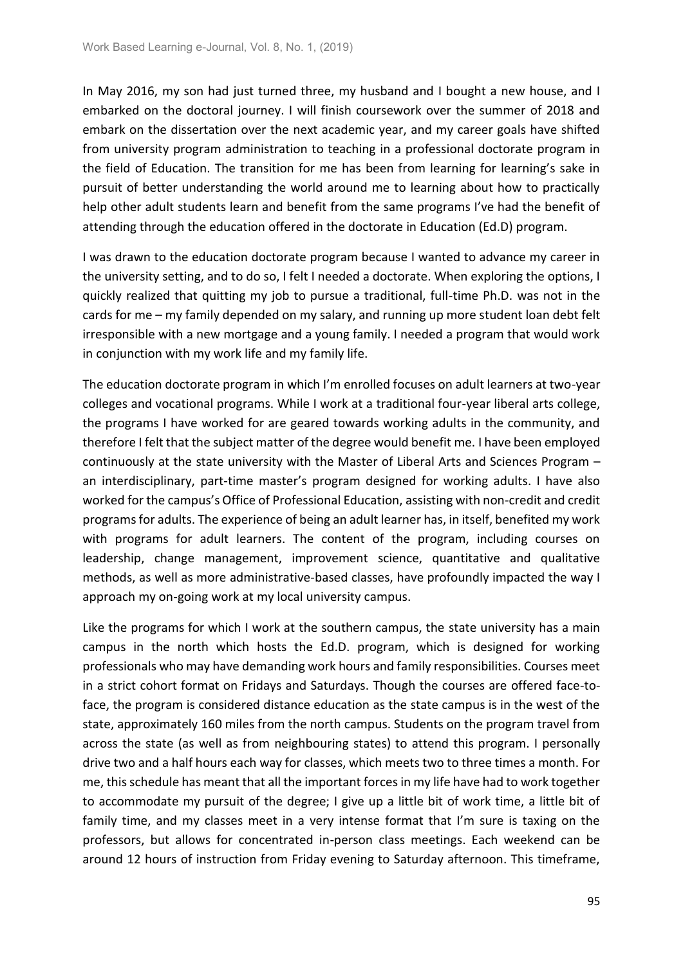In May 2016, my son had just turned three, my husband and I bought a new house, and I embarked on the doctoral journey. I will finish coursework over the summer of 2018 and embark on the dissertation over the next academic year, and my career goals have shifted from university program administration to teaching in a professional doctorate program in the field of Education. The transition for me has been from learning for learning's sake in pursuit of better understanding the world around me to learning about how to practically help other adult students learn and benefit from the same programs I've had the benefit of attending through the education offered in the doctorate in Education (Ed.D) program.

I was drawn to the education doctorate program because I wanted to advance my career in the university setting, and to do so, I felt I needed a doctorate. When exploring the options, I quickly realized that quitting my job to pursue a traditional, full-time Ph.D. was not in the cards for me – my family depended on my salary, and running up more student loan debt felt irresponsible with a new mortgage and a young family. I needed a program that would work in conjunction with my work life and my family life.

The education doctorate program in which I'm enrolled focuses on adult learners at two-year colleges and vocational programs. While I work at a traditional four-year liberal arts college, the programs I have worked for are geared towards working adults in the community, and therefore I felt that the subject matter of the degree would benefit me. I have been employed continuously at the state university with the Master of Liberal Arts and Sciences Program – an interdisciplinary, part-time master's program designed for working adults. I have also worked for the campus's Office of Professional Education, assisting with non-credit and credit programs for adults. The experience of being an adult learner has, in itself, benefited my work with programs for adult learners. The content of the program, including courses on leadership, change management, improvement science, quantitative and qualitative methods, as well as more administrative-based classes, have profoundly impacted the way I approach my on-going work at my local university campus.

Like the programs for which I work at the southern campus, the state university has a main campus in the north which hosts the Ed.D. program, which is designed for working professionals who may have demanding work hours and family responsibilities. Courses meet in a strict cohort format on Fridays and Saturdays. Though the courses are offered face-toface, the program is considered distance education as the state campus is in the west of the state, approximately 160 miles from the north campus. Students on the program travel from across the state (as well as from neighbouring states) to attend this program. I personally drive two and a half hours each way for classes, which meets two to three times a month. For me, this schedule has meant that all the important forces in my life have had to work together to accommodate my pursuit of the degree; I give up a little bit of work time, a little bit of family time, and my classes meet in a very intense format that I'm sure is taxing on the professors, but allows for concentrated in-person class meetings. Each weekend can be around 12 hours of instruction from Friday evening to Saturday afternoon. This timeframe,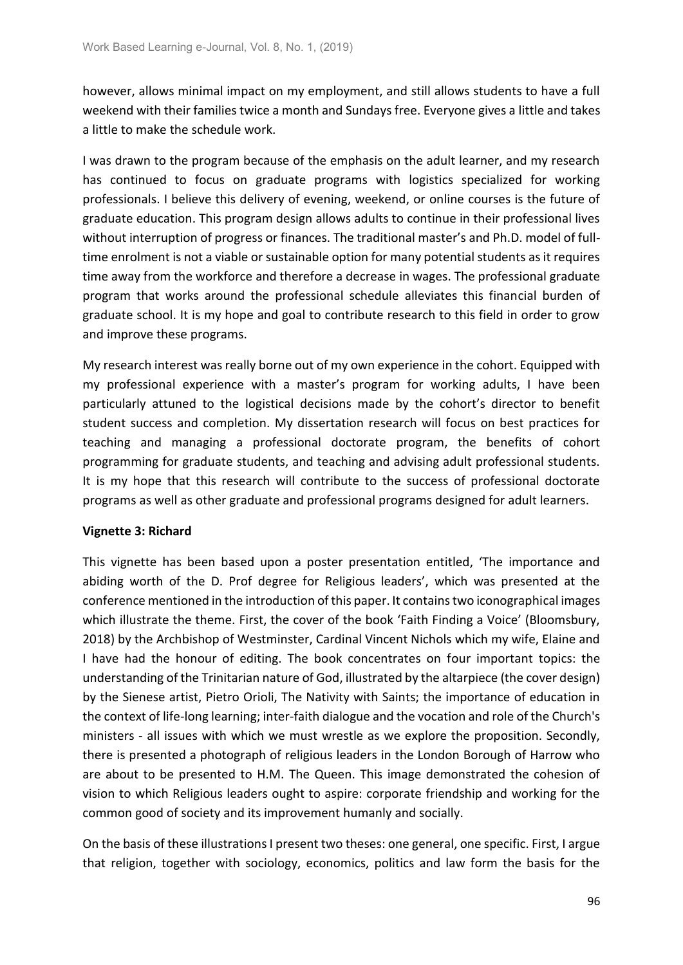however, allows minimal impact on my employment, and still allows students to have a full weekend with their families twice a month and Sundays free. Everyone gives a little and takes a little to make the schedule work.

I was drawn to the program because of the emphasis on the adult learner, and my research has continued to focus on graduate programs with logistics specialized for working professionals. I believe this delivery of evening, weekend, or online courses is the future of graduate education. This program design allows adults to continue in their professional lives without interruption of progress or finances. The traditional master's and Ph.D. model of fulltime enrolment is not a viable or sustainable option for many potential students as it requires time away from the workforce and therefore a decrease in wages. The professional graduate program that works around the professional schedule alleviates this financial burden of graduate school. It is my hope and goal to contribute research to this field in order to grow and improve these programs.

My research interest was really borne out of my own experience in the cohort. Equipped with my professional experience with a master's program for working adults, I have been particularly attuned to the logistical decisions made by the cohort's director to benefit student success and completion. My dissertation research will focus on best practices for teaching and managing a professional doctorate program, the benefits of cohort programming for graduate students, and teaching and advising adult professional students. It is my hope that this research will contribute to the success of professional doctorate programs as well as other graduate and professional programs designed for adult learners.

### **Vignette 3: Richard**

This vignette has been based upon a poster presentation entitled, 'The importance and abiding worth of the D. Prof degree for Religious leaders', which was presented at the conference mentioned in the introduction of this paper. It contains two iconographical images which illustrate the theme. First, the cover of the book 'Faith Finding a Voice' (Bloomsbury, 2018) by the Archbishop of Westminster, Cardinal Vincent Nichols which my wife, Elaine and I have had the honour of editing. The book concentrates on four important topics: the understanding of the Trinitarian nature of God, illustrated by the altarpiece (the cover design) by the Sienese artist, Pietro Orioli, The Nativity with Saints; the importance of education in the context of life-long learning; inter-faith dialogue and the vocation and role of the Church's ministers - all issues with which we must wrestle as we explore the proposition. Secondly, there is presented a photograph of religious leaders in the London Borough of Harrow who are about to be presented to H.M. The Queen. This image demonstrated the cohesion of vision to which Religious leaders ought to aspire: corporate friendship and working for the common good of society and its improvement humanly and socially.

On the basis of these illustrations I present two theses: one general, one specific. First, I argue that religion, together with sociology, economics, politics and law form the basis for the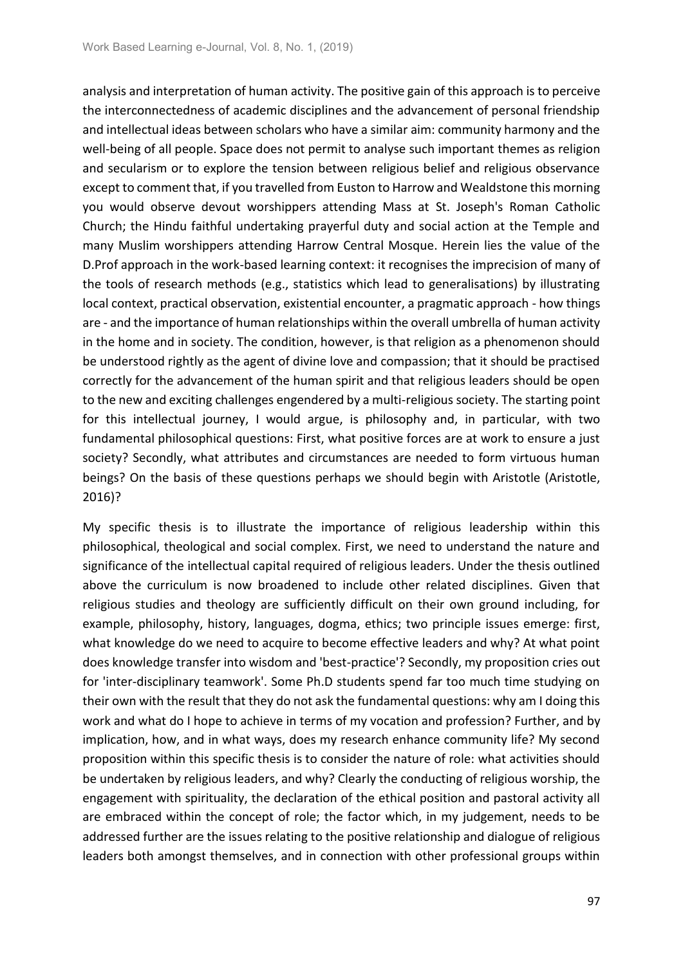analysis and interpretation of human activity. The positive gain of this approach is to perceive the interconnectedness of academic disciplines and the advancement of personal friendship and intellectual ideas between scholars who have a similar aim: community harmony and the well-being of all people. Space does not permit to analyse such important themes as religion and secularism or to explore the tension between religious belief and religious observance except to comment that, if you travelled from Euston to Harrow and Wealdstone this morning you would observe devout worshippers attending Mass at St. Joseph's Roman Catholic Church; the Hindu faithful undertaking prayerful duty and social action at the Temple and many Muslim worshippers attending Harrow Central Mosque. Herein lies the value of the D.Prof approach in the work-based learning context: it recognises the imprecision of many of the tools of research methods (e.g., statistics which lead to generalisations) by illustrating local context, practical observation, existential encounter, a pragmatic approach - how things are - and the importance of human relationships within the overall umbrella of human activity in the home and in society. The condition, however, is that religion as a phenomenon should be understood rightly as the agent of divine love and compassion; that it should be practised correctly for the advancement of the human spirit and that religious leaders should be open to the new and exciting challenges engendered by a multi-religious society. The starting point for this intellectual journey, I would argue, is philosophy and, in particular, with two fundamental philosophical questions: First, what positive forces are at work to ensure a just society? Secondly, what attributes and circumstances are needed to form virtuous human beings? On the basis of these questions perhaps we should begin with Aristotle (Aristotle, 2016)?

My specific thesis is to illustrate the importance of religious leadership within this philosophical, theological and social complex. First, we need to understand the nature and significance of the intellectual capital required of religious leaders. Under the thesis outlined above the curriculum is now broadened to include other related disciplines. Given that religious studies and theology are sufficiently difficult on their own ground including, for example, philosophy, history, languages, dogma, ethics; two principle issues emerge: first, what knowledge do we need to acquire to become effective leaders and why? At what point does knowledge transfer into wisdom and 'best-practice'? Secondly, my proposition cries out for 'inter-disciplinary teamwork'. Some Ph.D students spend far too much time studying on their own with the result that they do not ask the fundamental questions: why am I doing this work and what do I hope to achieve in terms of my vocation and profession? Further, and by implication, how, and in what ways, does my research enhance community life? My second proposition within this specific thesis is to consider the nature of role: what activities should be undertaken by religious leaders, and why? Clearly the conducting of religious worship, the engagement with spirituality, the declaration of the ethical position and pastoral activity all are embraced within the concept of role; the factor which, in my judgement, needs to be addressed further are the issues relating to the positive relationship and dialogue of religious leaders both amongst themselves, and in connection with other professional groups within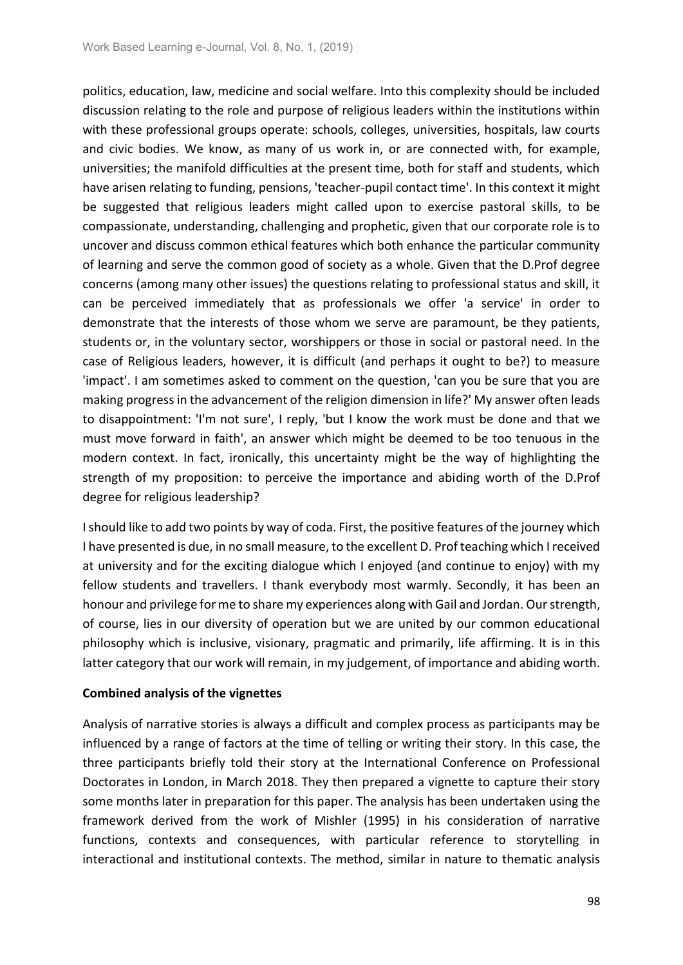politics, education, law, medicine and social welfare. Into this complexity should be included discussion relating to the role and purpose of religious leaders within the institutions within with these professional groups operate: schools, colleges, universities, hospitals, law courts and civic bodies. We know, as many of us work in, or are connected with, for example, universities; the manifold difficulties at the present time, both for staff and students, which have arisen relating to funding, pensions, 'teacher-pupil contact time'. In this context it might be suggested that religious leaders might called upon to exercise pastoral skills, to be compassionate, understanding, challenging and prophetic, given that our corporate role is to uncover and discuss common ethical features which both enhance the particular community of learning and serve the common good of society as a whole. Given that the D.Prof degree concerns (among many other issues) the questions relating to professional status and skill, it can be perceived immediately that as professionals we offer 'a service' in order to demonstrate that the interests of those whom we serve are paramount, be they patients, students or, in the voluntary sector, worshippers or those in social or pastoral need. In the case of Religious leaders, however, it is difficult (and perhaps it ought to be?) to measure 'impact'. I am sometimes asked to comment on the question, 'can you be sure that you are making progress in the advancement of the religion dimension in life?' My answer often leads to disappointment: 'I'm not sure', I reply, 'but I know the work must be done and that we must move forward in faith', an answer which might be deemed to be too tenuous in the modern context. In fact, ironically, this uncertainty might be the way of highlighting the strength of my proposition: to perceive the importance and abiding worth of the D.Prof degree for religious leadership?

I should like to add two points by way of coda. First, the positive features of the journey which I have presented is due, in no small measure, to the excellent D. Prof teaching which I received at university and for the exciting dialogue which I enjoyed (and continue to enjoy) with my fellow students and travellers. I thank everybody most warmly. Secondly, it has been an honour and privilege for me to share my experiences along with Gail and Jordan. Our strength, of course, lies in our diversity of operation but we are united by our common educational philosophy which is inclusive, visionary, pragmatic and primarily, life affirming. It is in this latter category that our work will remain, in my judgement, of importance and abiding worth.

### **Combined analysis of the vignettes**

Analysis of narrative stories is always a difficult and complex process as participants may be influenced by a range of factors at the time of telling or writing their story. In this case, the three participants briefly told their story at the International Conference on Professional Doctorates in London, in March 2018. They then prepared a vignette to capture their story some months later in preparation for this paper. The analysis has been undertaken using the framework derived from the work of Mishler (1995) in his consideration of narrative functions, contexts and consequences, with particular reference to storytelling in interactional and institutional contexts. The method, similar in nature to thematic analysis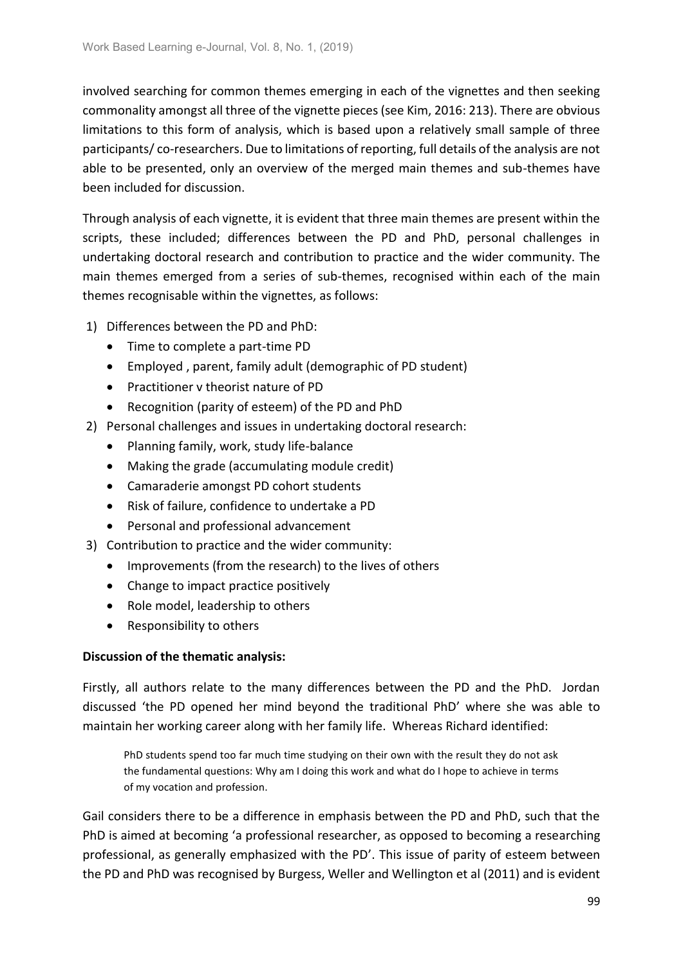involved searching for common themes emerging in each of the vignettes and then seeking commonality amongst all three of the vignette pieces (see Kim, 2016: 213). There are obvious limitations to this form of analysis, which is based upon a relatively small sample of three participants/ co-researchers. Due to limitations of reporting, full details of the analysis are not able to be presented, only an overview of the merged main themes and sub-themes have been included for discussion.

Through analysis of each vignette, it is evident that three main themes are present within the scripts, these included; differences between the PD and PhD, personal challenges in undertaking doctoral research and contribution to practice and the wider community. The main themes emerged from a series of sub-themes, recognised within each of the main themes recognisable within the vignettes, as follows:

- 1) Differences between the PD and PhD:
	- Time to complete a part-time PD
	- Employed , parent, family adult (demographic of PD student)
	- Practitioner v theorist nature of PD
	- Recognition (parity of esteem) of the PD and PhD
- 2) Personal challenges and issues in undertaking doctoral research:
	- Planning family, work, study life-balance
	- Making the grade (accumulating module credit)
	- Camaraderie amongst PD cohort students
	- Risk of failure, confidence to undertake a PD
	- Personal and professional advancement
- 3) Contribution to practice and the wider community:
	- Improvements (from the research) to the lives of others
	- Change to impact practice positively
	- Role model, leadership to others
	- Responsibility to others

## **Discussion of the thematic analysis:**

Firstly, all authors relate to the many differences between the PD and the PhD. Jordan discussed 'the PD opened her mind beyond the traditional PhD' where she was able to maintain her working career along with her family life. Whereas Richard identified:

PhD students spend too far much time studying on their own with the result they do not ask the fundamental questions: Why am I doing this work and what do I hope to achieve in terms of my vocation and profession.

Gail considers there to be a difference in emphasis between the PD and PhD, such that the PhD is aimed at becoming 'a professional researcher, as opposed to becoming a researching professional, as generally emphasized with the PD'. This issue of parity of esteem between the PD and PhD was recognised by Burgess, Weller and Wellington et al (2011) and is evident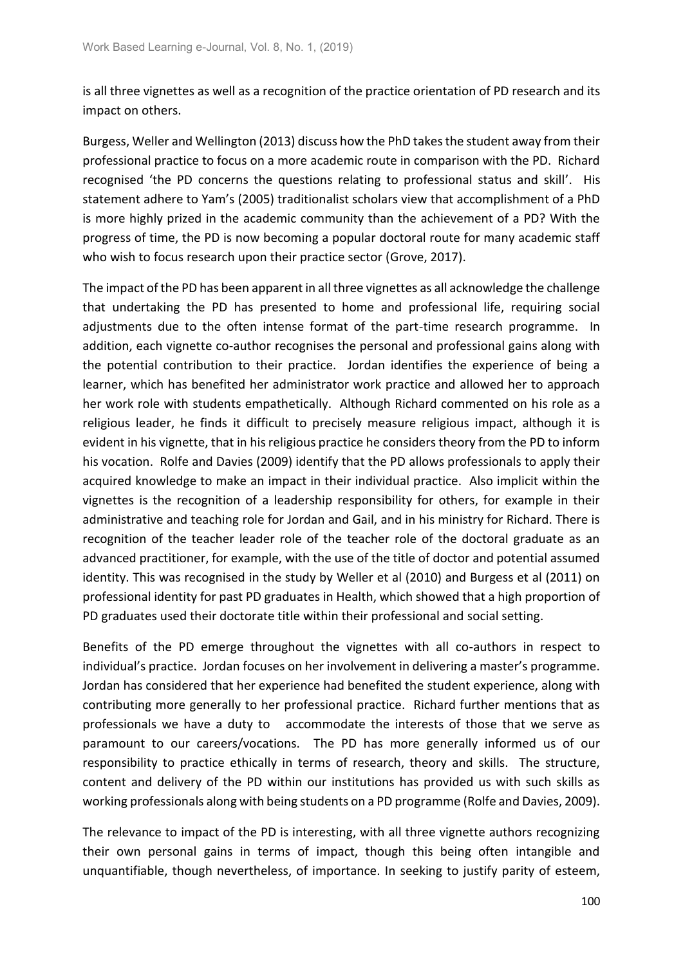is all three vignettes as well as a recognition of the practice orientation of PD research and its impact on others.

Burgess, Weller and Wellington (2013) discuss how the PhD takes the student away from their professional practice to focus on a more academic route in comparison with the PD. Richard recognised 'the PD concerns the questions relating to professional status and skill'. His statement adhere to Yam's (2005) traditionalist scholars view that accomplishment of a PhD is more highly prized in the academic community than the achievement of a PD? With the progress of time, the PD is now becoming a popular doctoral route for many academic staff who wish to focus research upon their practice sector (Grove, 2017).

The impact of the PD has been apparent in all three vignettes as all acknowledge the challenge that undertaking the PD has presented to home and professional life, requiring social adjustments due to the often intense format of the part-time research programme. In addition, each vignette co-author recognises the personal and professional gains along with the potential contribution to their practice. Jordan identifies the experience of being a learner, which has benefited her administrator work practice and allowed her to approach her work role with students empathetically. Although Richard commented on his role as a religious leader, he finds it difficult to precisely measure religious impact, although it is evident in his vignette, that in his religious practice he considers theory from the PD to inform his vocation. Rolfe and Davies (2009) identify that the PD allows professionals to apply their acquired knowledge to make an impact in their individual practice. Also implicit within the vignettes is the recognition of a leadership responsibility for others, for example in their administrative and teaching role for Jordan and Gail, and in his ministry for Richard. There is recognition of the teacher leader role of the teacher role of the doctoral graduate as an advanced practitioner, for example, with the use of the title of doctor and potential assumed identity. This was recognised in the study by Weller et al (2010) and Burgess et al (2011) on professional identity for past PD graduates in Health, which showed that a high proportion of PD graduates used their doctorate title within their professional and social setting.

Benefits of the PD emerge throughout the vignettes with all co-authors in respect to individual's practice. Jordan focuses on her involvement in delivering a master's programme. Jordan has considered that her experience had benefited the student experience, along with contributing more generally to her professional practice. Richard further mentions that as professionals we have a duty to accommodate the interests of those that we serve as paramount to our careers/vocations. The PD has more generally informed us of our responsibility to practice ethically in terms of research, theory and skills. The structure, content and delivery of the PD within our institutions has provided us with such skills as working professionals along with being students on a PD programme (Rolfe and Davies, 2009).

The relevance to impact of the PD is interesting, with all three vignette authors recognizing their own personal gains in terms of impact, though this being often intangible and unquantifiable, though nevertheless, of importance. In seeking to justify parity of esteem,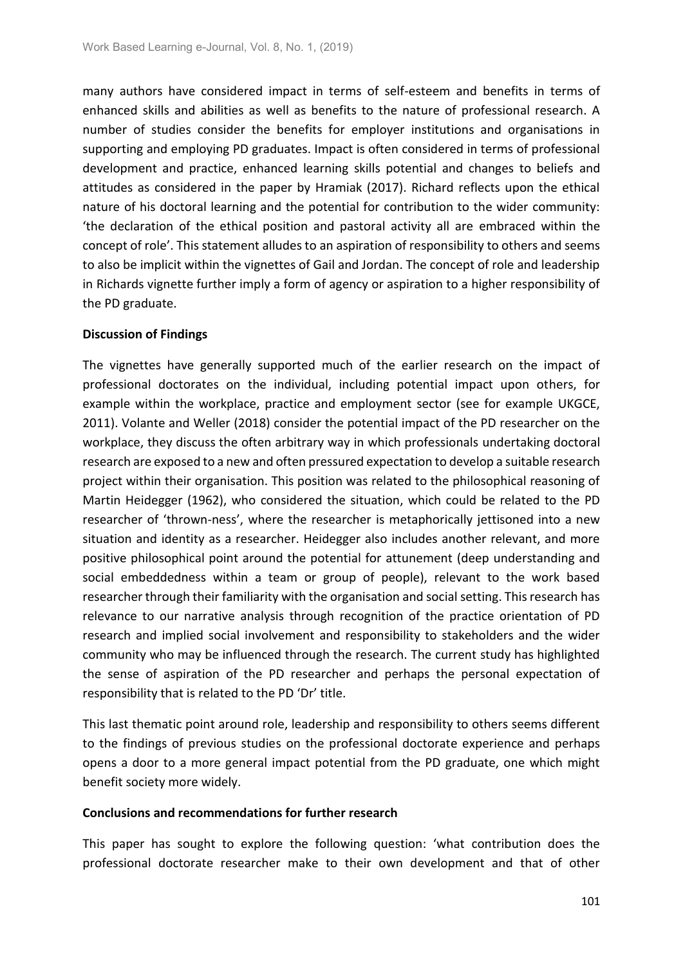many authors have considered impact in terms of self-esteem and benefits in terms of enhanced skills and abilities as well as benefits to the nature of professional research. A number of studies consider the benefits for employer institutions and organisations in supporting and employing PD graduates. Impact is often considered in terms of professional development and practice, enhanced learning skills potential and changes to beliefs and attitudes as considered in the paper by Hramiak (2017). Richard reflects upon the ethical nature of his doctoral learning and the potential for contribution to the wider community: 'the declaration of the ethical position and pastoral activity all are embraced within the concept of role'. This statement alludes to an aspiration of responsibility to others and seems to also be implicit within the vignettes of Gail and Jordan. The concept of role and leadership in Richards vignette further imply a form of agency or aspiration to a higher responsibility of the PD graduate.

### **Discussion of Findings**

The vignettes have generally supported much of the earlier research on the impact of professional doctorates on the individual, including potential impact upon others, for example within the workplace, practice and employment sector (see for example UKGCE, 2011). Volante and Weller (2018) consider the potential impact of the PD researcher on the workplace, they discuss the often arbitrary way in which professionals undertaking doctoral research are exposed to a new and often pressured expectation to develop a suitable research project within their organisation. This position was related to the philosophical reasoning of Martin Heidegger (1962), who considered the situation, which could be related to the PD researcher of 'thrown-ness', where the researcher is metaphorically jettisoned into a new situation and identity as a researcher. Heidegger also includes another relevant, and more positive philosophical point around the potential for attunement (deep understanding and social embeddedness within a team or group of people), relevant to the work based researcher through their familiarity with the organisation and social setting. This research has relevance to our narrative analysis through recognition of the practice orientation of PD research and implied social involvement and responsibility to stakeholders and the wider community who may be influenced through the research. The current study has highlighted the sense of aspiration of the PD researcher and perhaps the personal expectation of responsibility that is related to the PD 'Dr' title.

This last thematic point around role, leadership and responsibility to others seems different to the findings of previous studies on the professional doctorate experience and perhaps opens a door to a more general impact potential from the PD graduate, one which might benefit society more widely.

#### **Conclusions and recommendations for further research**

This paper has sought to explore the following question: 'what contribution does the professional doctorate researcher make to their own development and that of other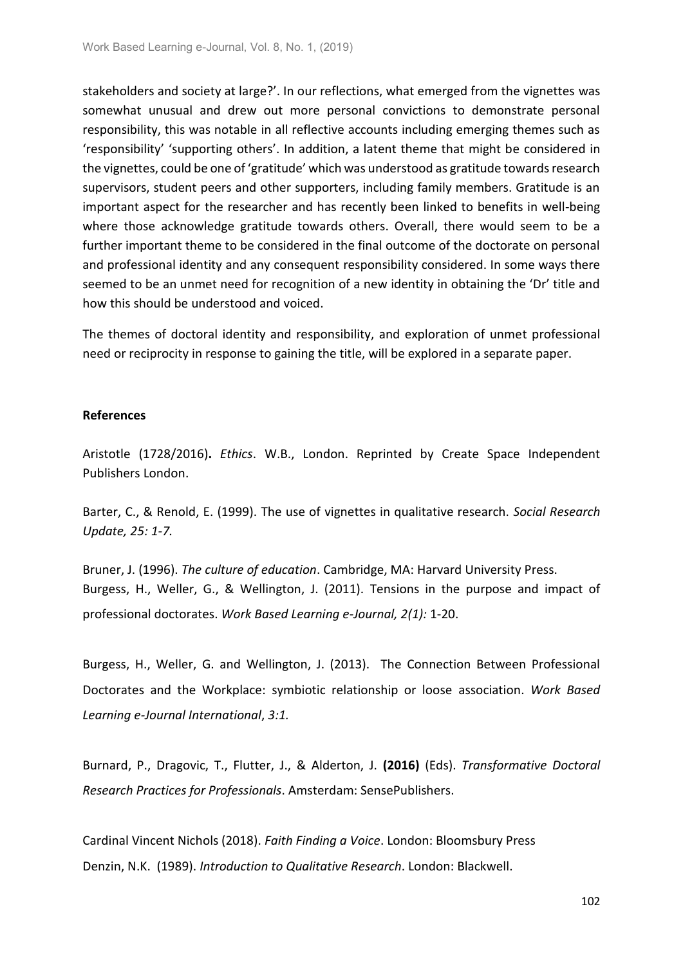stakeholders and society at large?'. In our reflections, what emerged from the vignettes was somewhat unusual and drew out more personal convictions to demonstrate personal responsibility, this was notable in all reflective accounts including emerging themes such as 'responsibility' 'supporting others'. In addition, a latent theme that might be considered in the vignettes, could be one of 'gratitude' which was understood as gratitude towards research supervisors, student peers and other supporters, including family members. Gratitude is an important aspect for the researcher and has recently been linked to benefits in well-being where those acknowledge gratitude towards others. Overall, there would seem to be a further important theme to be considered in the final outcome of the doctorate on personal and professional identity and any consequent responsibility considered. In some ways there seemed to be an unmet need for recognition of a new identity in obtaining the 'Dr' title and how this should be understood and voiced.

The themes of doctoral identity and responsibility, and exploration of unmet professional need or reciprocity in response to gaining the title, will be explored in a separate paper.

#### **References**

Aristotle (1728/2016)**.** *Ethics*. W.B., London. Reprinted by Create Space Independent Publishers London.

Barter, C., & Renold, E. (1999). The use of vignettes in qualitative research. *Social Research Update, 25: 1-7.*

Bruner, J. (1996). *The culture of education*. Cambridge, MA: Harvard University Press. Burgess, H., Weller, G., & Wellington, J. (2011). Tensions in the purpose and impact of professional doctorates. *Work Based Learning e-Journal, 2(1):* 1-20.

Burgess, H., Weller, G. and Wellington, J. (2013). The Connection Between Professional Doctorates and the Workplace: symbiotic relationship or loose association. *Work Based Learning e-Journal International*, *3:1.*

Burnard, P., Dragovic, T., Flutter, J., & Alderton, J. **(2016)** (Eds). *Transformative Doctoral Research Practices for Professionals*. Amsterdam: SensePublishers.

Cardinal Vincent Nichols (2018). *Faith Finding a Voice*. London: Bloomsbury Press Denzin, N.K. (1989). *Introduction to Qualitative Research*. London: Blackwell.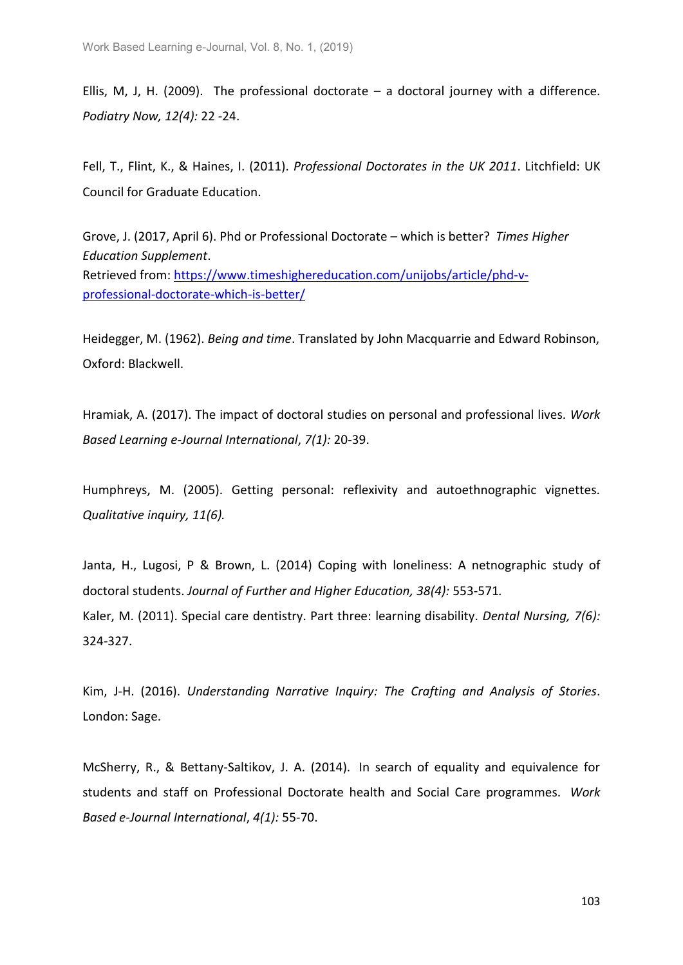Ellis, M, J, H. (2009). The professional doctorate  $-$  a doctoral journey with a difference. *Podiatry Now, 12(4):* 22 -24.

Fell, T., Flint, K., & Haines, I. (2011). *Professional Doctorates in the UK 2011*. Litchfield: UK Council for Graduate Education.

Grove, J. (2017, April 6). Phd or Professional Doctorate – which is better? *Times Higher Education Supplement*. Retrieved from: [https://www.timeshighereducation.com/unijobs/article/phd-v](https://www.timeshighereducation.com/unijobs/article/phd-v-professional-doctorate-which-is-better/)[professional-doctorate-which-is-better/](https://www.timeshighereducation.com/unijobs/article/phd-v-professional-doctorate-which-is-better/)

Heidegger, M. (1962). *Being and time*. Translated by John Macquarrie and Edward Robinson, Oxford: Blackwell.

Hramiak, A. (2017). The impact of doctoral studies on personal and professional lives. *Work Based Learning e-Journal International*, *7(1):* 20-39.

Humphreys, M. (2005). Getting personal: reflexivity and autoethnographic vignettes. *Qualitative inquiry, 11(6).*

Janta, H., Lugosi, P & Brown, L. (2014) Coping with loneliness: A netnographic study of doctoral students. *Journal of Further and Higher Education, 38(4):* 553-571*.* Kaler, M. (2011). Special care dentistry. Part three: learning disability. *Dental Nursing, 7(6):* 324-327.

Kim, J-H. (2016). *Understanding Narrative Inquiry: The Crafting and Analysis of Stories*. London: Sage.

McSherry, R., & Bettany-Saltikov, J. A. (2014). In search of equality and equivalence for students and staff on Professional Doctorate health and Social Care programmes. *Work Based e-Journal International*, *4(1):* 55-70.